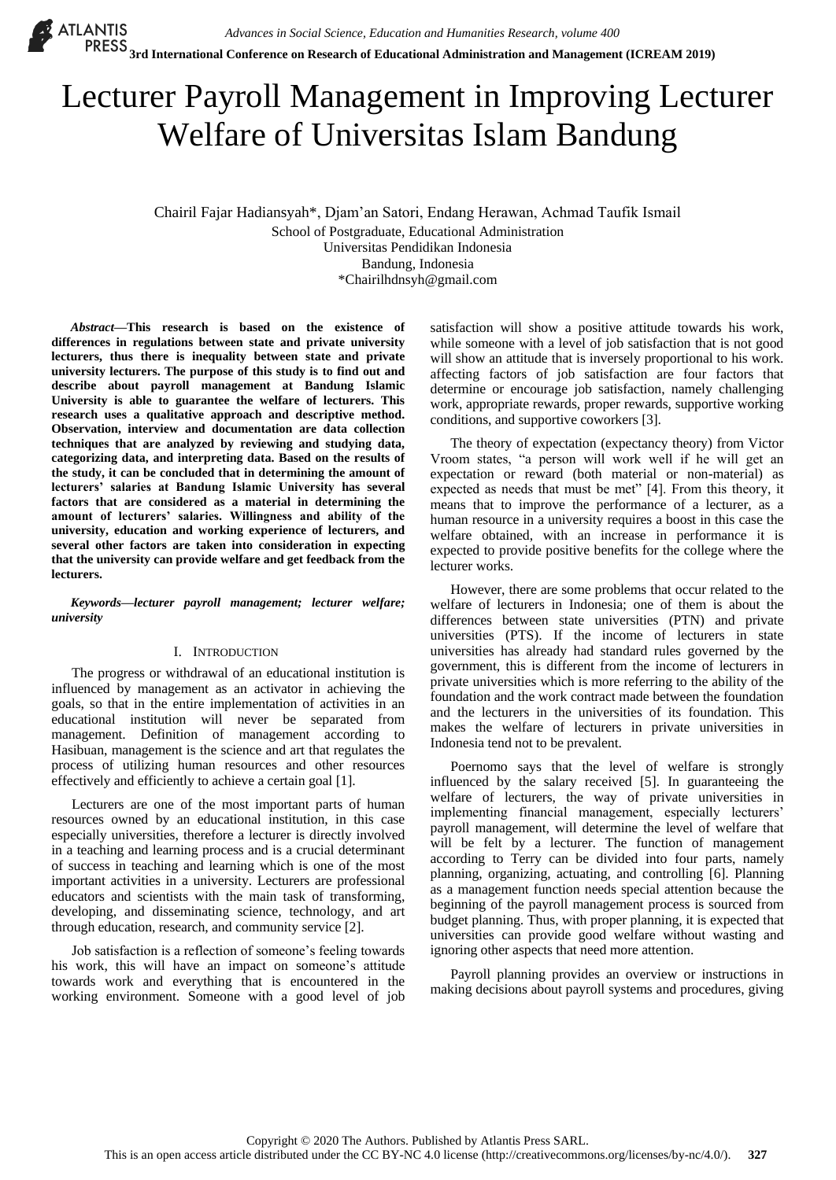# Lecturer Payroll Management in Improving Lecturer Welfare of Universitas Islam Bandung

Chairil Fajar Hadiansyah\*, Djam'an Satori, Endang Herawan, Achmad Taufik Ismail School of Postgraduate, Educational Administration Universitas Pendidikan Indonesia Bandung, Indonesia \*Chairilhdnsyh@gmail.com

*Abstract***—This research is based on the existence of differences in regulations between state and private university lecturers, thus there is inequality between state and private university lecturers. The purpose of this study is to find out and describe about payroll management at Bandung Islamic University is able to guarantee the welfare of lecturers. This research uses a qualitative approach and descriptive method. Observation, interview and documentation are data collection techniques that are analyzed by reviewing and studying data, categorizing data, and interpreting data. Based on the results of the study, it can be concluded that in determining the amount of lecturers' salaries at Bandung Islamic University has several factors that are considered as a material in determining the amount of lecturers' salaries. Willingness and ability of the university, education and working experience of lecturers, and several other factors are taken into consideration in expecting that the university can provide welfare and get feedback from the lecturers.**

*Keywords—lecturer payroll management; lecturer welfare; university*

## I. INTRODUCTION

The progress or withdrawal of an educational institution is influenced by management as an activator in achieving the goals, so that in the entire implementation of activities in an educational institution will never be separated from management. Definition of management according to Hasibuan, management is the science and art that regulates the process of utilizing human resources and other resources effectively and efficiently to achieve a certain goal [1].

Lecturers are one of the most important parts of human resources owned by an educational institution, in this case especially universities, therefore a lecturer is directly involved in a teaching and learning process and is a crucial determinant of success in teaching and learning which is one of the most important activities in a university. Lecturers are professional educators and scientists with the main task of transforming, developing, and disseminating science, technology, and art through education, research, and community service [2].

Job satisfaction is a reflection of someone's feeling towards his work, this will have an impact on someone's attitude towards work and everything that is encountered in the working environment. Someone with a good level of job satisfaction will show a positive attitude towards his work, while someone with a level of job satisfaction that is not good will show an attitude that is inversely proportional to his work. affecting factors of job satisfaction are four factors that determine or encourage job satisfaction, namely challenging work, appropriate rewards, proper rewards, supportive working conditions, and supportive coworkers [3].

The theory of expectation (expectancy theory) from Victor Vroom states, "a person will work well if he will get an expectation or reward (both material or non-material) as expected as needs that must be met" [4]. From this theory, it means that to improve the performance of a lecturer, as a human resource in a university requires a boost in this case the welfare obtained, with an increase in performance it is expected to provide positive benefits for the college where the lecturer works.

However, there are some problems that occur related to the welfare of lecturers in Indonesia; one of them is about the differences between state universities (PTN) and private universities (PTS). If the income of lecturers in state universities has already had standard rules governed by the government, this is different from the income of lecturers in private universities which is more referring to the ability of the foundation and the work contract made between the foundation and the lecturers in the universities of its foundation. This makes the welfare of lecturers in private universities in Indonesia tend not to be prevalent.

Poernomo says that the level of welfare is strongly influenced by the salary received [5]. In guaranteeing the welfare of lecturers, the way of private universities in implementing financial management, especially lecturers' payroll management, will determine the level of welfare that will be felt by a lecturer. The function of management according to Terry can be divided into four parts, namely planning, organizing, actuating, and controlling [6]. Planning as a management function needs special attention because the beginning of the payroll management process is sourced from budget planning. Thus, with proper planning, it is expected that universities can provide good welfare without wasting and ignoring other aspects that need more attention.

Payroll planning provides an overview or instructions in making decisions about payroll systems and procedures, giving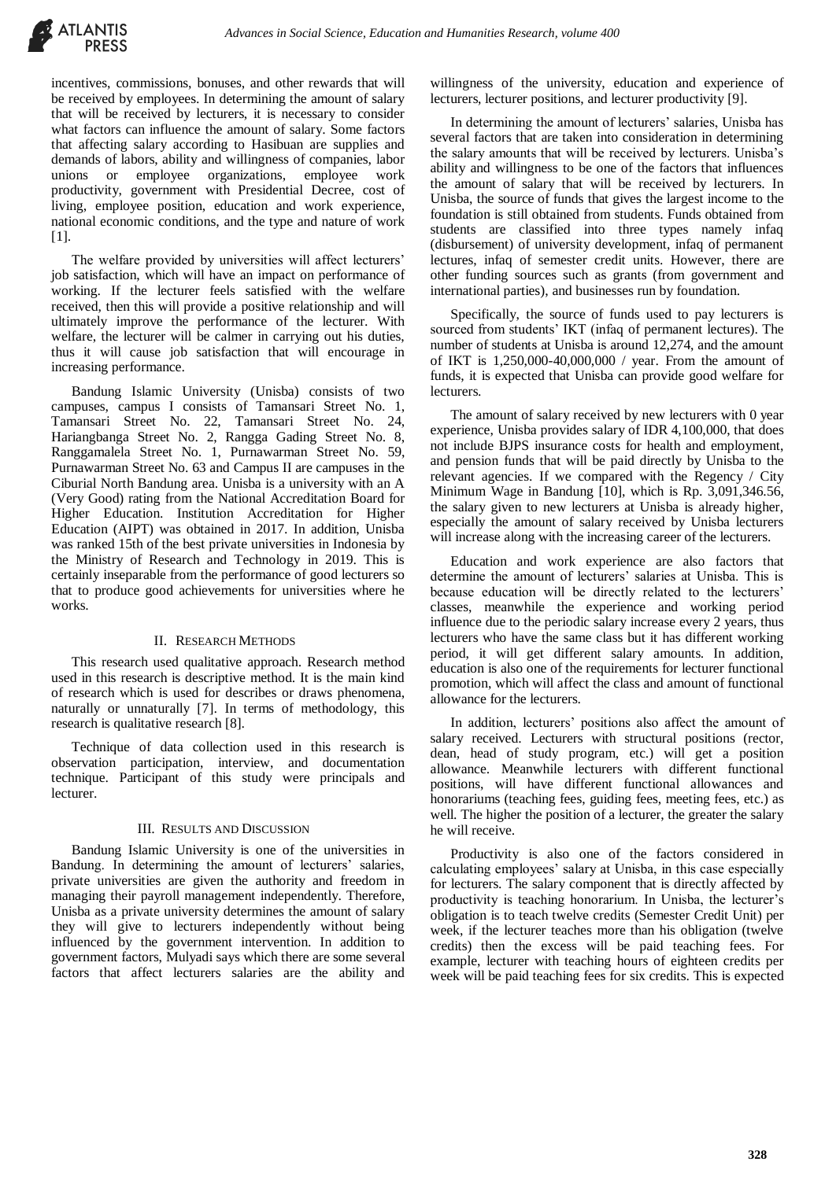

incentives, commissions, bonuses, and other rewards that will be received by employees. In determining the amount of salary that will be received by lecturers, it is necessary to consider what factors can influence the amount of salary. Some factors that affecting salary according to Hasibuan are supplies and demands of labors, ability and willingness of companies, labor unions or employee organizations, employee work productivity, government with Presidential Decree, cost of living, employee position, education and work experience, national economic conditions, and the type and nature of work [1].

The welfare provided by universities will affect lecturers' job satisfaction, which will have an impact on performance of working. If the lecturer feels satisfied with the welfare received, then this will provide a positive relationship and will ultimately improve the performance of the lecturer. With welfare, the lecturer will be calmer in carrying out his duties, thus it will cause job satisfaction that will encourage in increasing performance.

Bandung Islamic University (Unisba) consists of two campuses, campus I consists of Tamansari Street No. 1, Tamansari Street No. 22, Tamansari Street No. 24, Hariangbanga Street No. 2, Rangga Gading Street No. 8, Ranggamalela Street No. 1, Purnawarman Street No. 59, Purnawarman Street No. 63 and Campus II are campuses in the Ciburial North Bandung area. Unisba is a university with an A (Very Good) rating from the National Accreditation Board for Higher Education. Institution Accreditation for Higher Education (AIPT) was obtained in 2017. In addition, Unisba was ranked 15th of the best private universities in Indonesia by the Ministry of Research and Technology in 2019. This is certainly inseparable from the performance of good lecturers so that to produce good achievements for universities where he works.

## II. RESEARCH METHODS

This research used qualitative approach. Research method used in this research is descriptive method. It is the main kind of research which is used for describes or draws phenomena, naturally or unnaturally [7]. In terms of methodology, this research is qualitative research [8].

Technique of data collection used in this research is observation participation, interview, and documentation technique. Participant of this study were principals and lecturer.

#### III. RESULTS AND DISCUSSION

Bandung Islamic University is one of the universities in Bandung. In determining the amount of lecturers' salaries, private universities are given the authority and freedom in managing their payroll management independently. Therefore, Unisba as a private university determines the amount of salary they will give to lecturers independently without being influenced by the government intervention. In addition to government factors, Mulyadi says which there are some several factors that affect lecturers salaries are the ability and

willingness of the university, education and experience of lecturers, lecturer positions, and lecturer productivity [9].

In determining the amount of lecturers' salaries, Unisba has several factors that are taken into consideration in determining the salary amounts that will be received by lecturers. Unisba's ability and willingness to be one of the factors that influences the amount of salary that will be received by lecturers. In Unisba, the source of funds that gives the largest income to the foundation is still obtained from students. Funds obtained from students are classified into three types namely infaq (disbursement) of university development, infaq of permanent lectures, infaq of semester credit units. However, there are other funding sources such as grants (from government and international parties), and businesses run by foundation.

Specifically, the source of funds used to pay lecturers is sourced from students' IKT (infaq of permanent lectures). The number of students at Unisba is around 12,274, and the amount of IKT is 1,250,000-40,000,000 / year. From the amount of funds, it is expected that Unisba can provide good welfare for lecturers.

The amount of salary received by new lecturers with 0 year experience, Unisba provides salary of IDR 4,100,000, that does not include BJPS insurance costs for health and employment, and pension funds that will be paid directly by Unisba to the relevant agencies. If we compared with the Regency / City Minimum Wage in Bandung [10], which is Rp. 3,091,346.56, the salary given to new lecturers at Unisba is already higher, especially the amount of salary received by Unisba lecturers will increase along with the increasing career of the lecturers.

Education and work experience are also factors that determine the amount of lecturers' salaries at Unisba. This is because education will be directly related to the lecturers' classes, meanwhile the experience and working period influence due to the periodic salary increase every 2 years, thus lecturers who have the same class but it has different working period, it will get different salary amounts. In addition, education is also one of the requirements for lecturer functional promotion, which will affect the class and amount of functional allowance for the lecturers.

In addition, lecturers' positions also affect the amount of salary received. Lecturers with structural positions (rector, dean, head of study program, etc.) will get a position allowance. Meanwhile lecturers with different functional positions, will have different functional allowances and honorariums (teaching fees, guiding fees, meeting fees, etc.) as well. The higher the position of a lecturer, the greater the salary he will receive.

Productivity is also one of the factors considered in calculating employees' salary at Unisba, in this case especially for lecturers. The salary component that is directly affected by productivity is teaching honorarium. In Unisba, the lecturer's obligation is to teach twelve credits (Semester Credit Unit) per week, if the lecturer teaches more than his obligation (twelve credits) then the excess will be paid teaching fees. For example, lecturer with teaching hours of eighteen credits per week will be paid teaching fees for six credits. This is expected